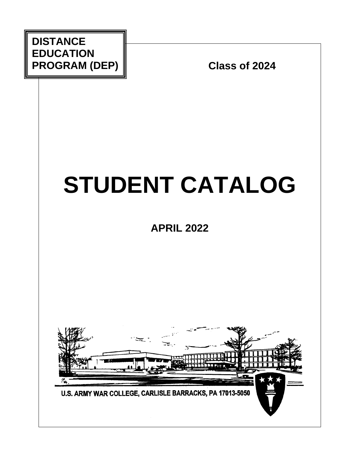

# **STUDENT CATALOG**

**APRIL 2022**

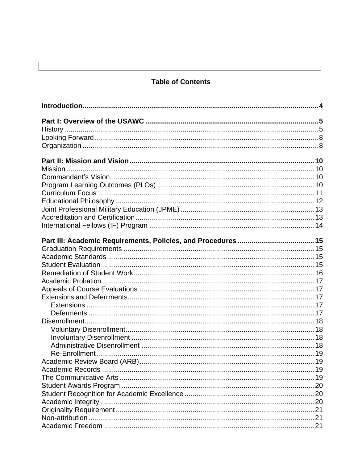# <span id="page-1-0"></span>**Table of Contents**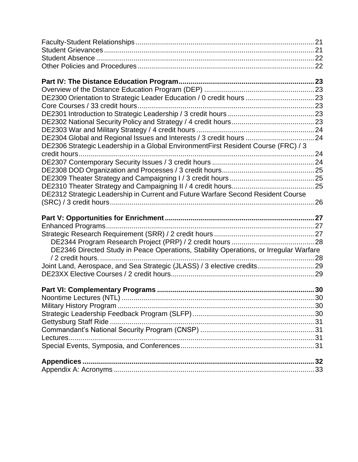| DE2304 Global and Regional Issues and Interests / 3 credit hours  24                  |  |
|---------------------------------------------------------------------------------------|--|
| DE2306 Strategic Leadership in a Global EnvironmentFirst Resident Course (FRC) / 3    |  |
|                                                                                       |  |
|                                                                                       |  |
|                                                                                       |  |
|                                                                                       |  |
| DE2312 Strategic Leadership in Current and Future Warfare Second Resident Course      |  |
|                                                                                       |  |
|                                                                                       |  |
|                                                                                       |  |
|                                                                                       |  |
|                                                                                       |  |
|                                                                                       |  |
|                                                                                       |  |
| DE2346 Directed Study in Peace Operations, Stability Operations, or Irregular Warfare |  |
|                                                                                       |  |
| Joint Land, Aerospace, and Sea Strategic (JLASS) / 3 elective credits 29              |  |
|                                                                                       |  |
|                                                                                       |  |
|                                                                                       |  |
|                                                                                       |  |
|                                                                                       |  |
|                                                                                       |  |
|                                                                                       |  |
|                                                                                       |  |
|                                                                                       |  |
|                                                                                       |  |
|                                                                                       |  |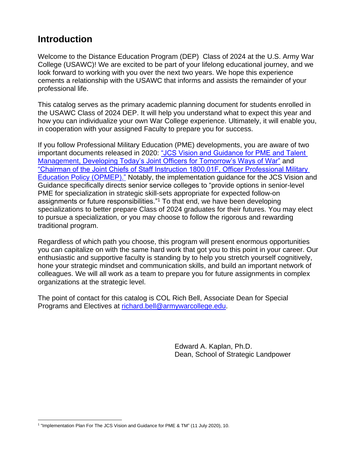# <span id="page-3-0"></span>**Introduction**

Welcome to the Distance Education Program (DEP) Class of 2024 at the U.S. Army War College (USAWC)! We are excited to be part of your lifelong educational journey, and we look forward to working with you over the next two years. We hope this experience cements a relationship with the USAWC that informs and assists the remainder of your professional life.

This catalog serves as the primary academic planning document for students enrolled in the USAWC Class of 2024 DEP. It will help you understand what to expect this year and how you can individualize your own War College experience. Ultimately, it will enable you, in cooperation with your assigned Faculty to prepare you for success.

If you follow Professional Military Education (PME) developments, you are aware of two important documents released in 2020: ["JCS Vision and Guidance for PME and Talent](https://www.jcs.mil/Portals/36/Documents/Doctrine/education/jcs_pme_tm_vision.pdf?ver=2020-05-15-102429-817)  [Management, Developing Today's Joint Officers for Tomorrow's Ways of War"](https://www.jcs.mil/Portals/36/Documents/Doctrine/education/jcs_pme_tm_vision.pdf?ver=2020-05-15-102429-817) and ["Chairman of the Joint Chiefs of Staff Instruction 1800.01F, Officer Professional Military](https://www.jcs.mil/Portals/36/Documents/Doctrine/education/cjcsi_1800_01f.pdf?ver=2020-05-15-102430-580)  [Education Policy \(OPMEP\)."](https://www.jcs.mil/Portals/36/Documents/Doctrine/education/cjcsi_1800_01f.pdf?ver=2020-05-15-102430-580) Notably, the implementation guidance for the JCS Vision and Guidance specifically directs senior service colleges to "provide options in senior-level PME for specialization in strategic skill-sets appropriate for expected follow-on assignments or future responsibilities."<sup>1</sup> To that end, we have been developing specializations to better prepare Class of 2024 graduates for their futures. You may elect to pursue a specialization, or you may choose to follow the rigorous and rewarding traditional program.

Regardless of which path you choose, this program will present enormous opportunities you can capitalize on with the same hard work that got you to this point in your career. Our enthusiastic and supportive faculty is standing by to help you stretch yourself cognitively, hone your strategic mindset and communication skills, and build an important network of colleagues. We will all work as a team to prepare you for future assignments in complex organizations at the strategic level.

The point of contact for this catalog is COL Rich Bell, Associate Dean for Special Programs and Electives at [richard.bell@armywarcollege.edu.](mailto:richard.bell@armywarcollege.edu)

> Edward A. Kaplan, Ph.D. Dean, School of Strategic Landpower

l <sup>1</sup> "Implementation Plan For The JCS Vision and Guidance for PME & TM" (11 July 2020), 10.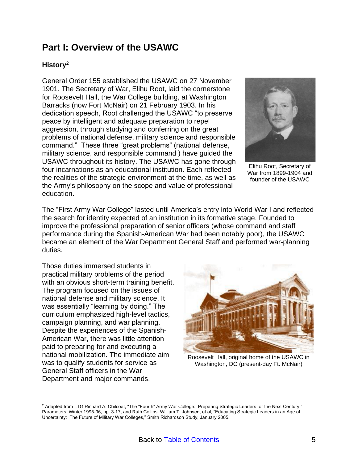# <span id="page-4-0"></span>**Part I: Overview of the USAWC**

# <span id="page-4-1"></span>**History** 2

 $\overline{a}$ 

General Order 155 established the USAWC on 27 November 1901. The Secretary of War, Elihu Root, laid the cornerstone for Roosevelt Hall, the War College building, at Washington Barracks (now Fort McNair) on 21 February 1903. In his dedication speech, Root challenged the USAWC "to preserve peace by intelligent and adequate preparation to repel aggression, through studying and conferring on the great problems of national defense, military science and responsible command." These three "great problems" (national defense, military science, and responsible command ) have guided the USAWC throughout its history. The USAWC has gone through four incarnations as an educational institution. Each reflected the realities of the strategic environment at the time, as well as the Army's philosophy on the scope and value of professional education.



Elihu Root, Secretary of War from 1899-1904 and founder of the USAWC

The "First Army War College" lasted until America's entry into World War I and reflected the search for identity expected of an institution in its formative stage. Founded to improve the professional preparation of senior officers (whose command and staff performance during the Spanish-American War had been notably poor), the USAWC became an element of the War Department General Staff and performed war-planning duties.

Those duties immersed students in practical military problems of the period with an obvious short-term training benefit. The program focused on the issues of national defense and military science. It was essentially "learning by doing." The curriculum emphasized high-level tactics, campaign planning, and war planning. Despite the experiences of the Spanish-American War, there was little attention paid to preparing for and executing a national mobilization. The immediate aim was to qualify students for service as General Staff officers in the War Department and major commands.



Roosevelt Hall, original home of the USAWC in Washington, DC (present-day Ft. McNair)

<sup>&</sup>lt;sup>2</sup> Adapted from LTG Richard A. Chilcoat, "The "Fourth" Army War College: Preparing Strategic Leaders for the Next Century," Parameters, Winter 1995-96, pp. 3-17, and Ruth Collins, William T. Johnsen, et al, "Educating Strategic Leaders in an Age of Uncertainty: The Future of Military War Colleges," Smith Richardson Study, January 2005.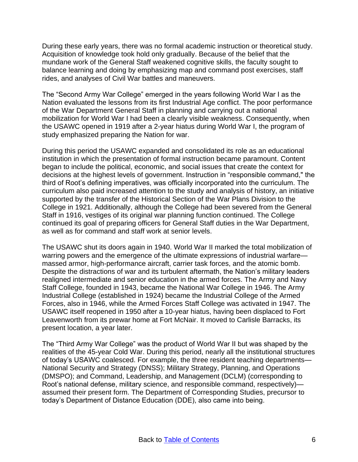During these early years, there was no formal academic instruction or theoretical study. Acquisition of knowledge took hold only gradually. Because of the belief that the mundane work of the General Staff weakened cognitive skills, the faculty sought to balance learning and doing by emphasizing map and command post exercises, staff rides, and analyses of Civil War battles and maneuvers.

The "Second Army War College" emerged in the years following World War I as the Nation evaluated the lessons from its first Industrial Age conflict. The poor performance of the War Department General Staff in planning and carrying out a national mobilization for World War I had been a clearly visible weakness. Consequently, when the USAWC opened in 1919 after a 2-year hiatus during World War I, the program of study emphasized preparing the Nation for war.

During this period the USAWC expanded and consolidated its role as an educational institution in which the presentation of formal instruction became paramount. Content began to include the political, economic, and social issues that create the context for decisions at the highest levels of government. Instruction in "responsible command," the third of Root's defining imperatives, was officially incorporated into the curriculum. The curriculum also paid increased attention to the study and analysis of history, an initiative supported by the transfer of the Historical Section of the War Plans Division to the College in 1921. Additionally, although the College had been severed from the General Staff in 1916, vestiges of its original war planning function continued. The College continued its goal of preparing officers for General Staff duties in the War Department, as well as for command and staff work at senior levels.

The USAWC shut its doors again in 1940. World War II marked the total mobilization of warring powers and the emergence of the ultimate expressions of industrial warfare massed armor, high-performance aircraft, carrier task forces, and the atomic bomb. Despite the distractions of war and its turbulent aftermath, the Nation's military leaders realigned intermediate and senior education in the armed forces. The Army and Navy Staff College, founded in 1943, became the National War College in 1946. The Army Industrial College (established in 1924) became the Industrial College of the Armed Forces, also in 1946, while the Armed Forces Staff College was activated in 1947. The USAWC itself reopened in 1950 after a 10-year hiatus, having been displaced to Fort Leavenworth from its prewar home at Fort McNair. It moved to Carlisle Barracks, its present location, a year later.

The "Third Army War College" was the product of World War II but was shaped by the realities of the 45-year Cold War. During this period, nearly all the institutional structures of today's USAWC coalesced. For example, the three resident teaching departments— National Security and Strategy (DNSS); Military Strategy, Planning, and Operations (DMSPO); and Command, Leadership, and Management (DCLM) (corresponding to Root's national defense, military science, and responsible command, respectively) assumed their present form. The Department of Corresponding Studies, precursor to today's Department of Distance Education (DDE), also came into being.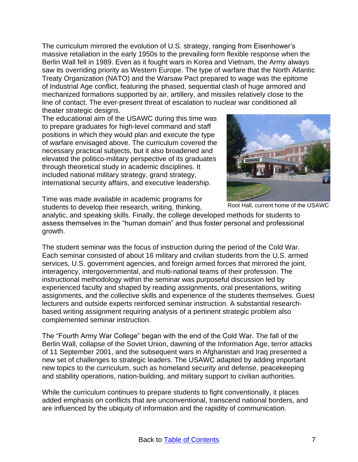The curriculum mirrored the evolution of U.S. strategy, ranging from Eisenhower's massive retaliation in the early 1950s to the prevailing form flexible response when the Berlin Wall fell in 1989. Even as it fought wars in Korea and Vietnam, the Army always saw its overriding priority as Western Europe. The type of warfare that the North Atlantic Treaty Organization (NATO) and the Warsaw Pact prepared to wage was the epitome of Industrial Age conflict, featuring the phased, sequential clash of huge armored and mechanized formations supported by air, artillery, and missiles relatively close to the line of contact. The ever-present threat of escalation to nuclear war conditioned all theater strategic designs.

The educational aim of the USAWC during this time was to prepare graduates for high-level command and staff positions in which they would plan and execute the type of warfare envisaged above. The curriculum covered the necessary practical subjects, but it also broadened and elevated the politico-military perspective of its graduates through theoretical study in academic disciplines. It included national military strategy, grand strategy, international security affairs, and executive leadership.



Root Hall, current home of the USAWC

Time was made available in academic programs for students to develop their research, writing, thinking,

analytic, and speaking skills. Finally, the college developed methods for students to assess themselves in the "human domain" and thus foster personal and professional growth.

The student seminar was the focus of instruction during the period of the Cold War. Each seminar consisted of about 16 military and civilian students from the U.S. armed services, U.S. government agencies, and foreign armed forces that mirrored the joint, interagency, intergovernmental, and multi-national teams of their profession. The instructional methodology within the seminar was purposeful discussion led by experienced faculty and shaped by reading assignments, oral presentations, writing assignments, and the collective skills and experience of the students themselves. Guest lecturers and outside experts reinforced seminar instruction. A substantial researchbased writing assignment requiring analysis of a pertinent strategic problem also complemented seminar instruction.

The "Fourth Army War College" began with the end of the Cold War. The fall of the Berlin Wall, collapse of the Soviet Union, dawning of the Information Age, terror attacks of 11 September 2001, and the subsequent wars in Afghanistan and Iraq presented a new set of challenges to strategic leaders. The USAWC adapted by adding important new topics to the curriculum, such as homeland security and defense, peacekeeping and stability operations, nation-building, and military support to civilian authorities.

While the curriculum continues to prepare students to fight conventionally, it places added emphasis on conflicts that are unconventional, transcend national borders, and are influenced by the ubiquity of information and the rapidity of communication.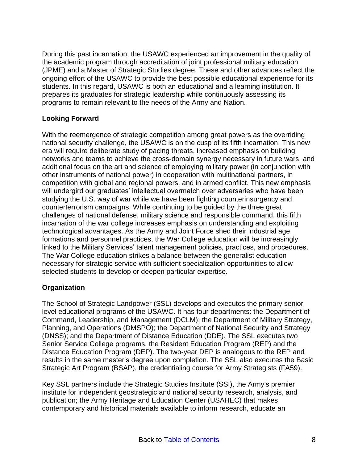During this past incarnation, the USAWC experienced an improvement in the quality of the academic program through accreditation of joint professional military education (JPME) and a Master of Strategic Studies degree. These and other advances reflect the ongoing effort of the USAWC to provide the best possible educational experience for its students. In this regard, USAWC is both an educational and a learning institution. It prepares its graduates for strategic leadership while continuously assessing its programs to remain relevant to the needs of the Army and Nation.

# <span id="page-7-0"></span>**Looking Forward**

With the reemergence of strategic competition among great powers as the overriding national security challenge, the USAWC is on the cusp of its fifth incarnation. This new era will require deliberate study of pacing threats, increased emphasis on building networks and teams to achieve the cross-domain synergy necessary in future wars, and additional focus on the art and science of employing military power (in conjunction with other instruments of national power) in cooperation with multinational partners, in competition with global and regional powers, and in armed conflict. This new emphasis will undergird our graduates' intellectual overmatch over adversaries who have been studying the U.S. way of war while we have been fighting counterinsurgency and counterterrorism campaigns. While continuing to be guided by the three great challenges of national defense, military science and responsible command, this fifth incarnation of the war college increases emphasis on understanding and exploiting technological advantages. As the Army and Joint Force shed their industrial age formations and personnel practices, the War College education will be increasingly linked to the Military Services' talent management policies, practices, and procedures. The War College education strikes a balance between the generalist education necessary for strategic service with sufficient specialization opportunities to allow selected students to develop or deepen particular expertise.

# <span id="page-7-1"></span>**Organization**

The School of Strategic Landpower (SSL) develops and executes the primary senior level educational programs of the USAWC. It has four departments: the Department of Command, Leadership, and Management (DCLM); the Department of Military Strategy, Planning, and Operations (DMSPO); the Department of National Security and Strategy (DNSS); and the Department of Distance Education (DDE). The SSL executes two Senior Service College programs, the Resident Education Program (REP) and the Distance Education Program (DEP). The two-year DEP is analogous to the REP and results in the same master's degree upon completion. The SSL also executes the Basic Strategic Art Program (BSAP), the credentialing course for Army Strategists (FA59).

Key SSL partners include the Strategic Studies Institute (SSI), the Army's premier institute for independent geostrategic and national security research, analysis, and publication; the Army Heritage and Education Center (USAHEC) that makes contemporary and historical materials available to inform research, educate an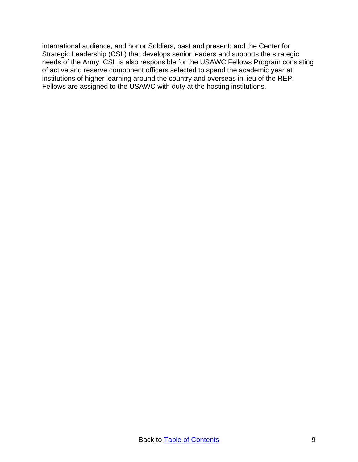international audience, and honor Soldiers, past and present; and the Center for Strategic Leadership (CSL) that develops senior leaders and supports the strategic needs of the Army. CSL is also responsible for the USAWC Fellows Program consisting of active and reserve component officers selected to spend the academic year at institutions of higher learning around the country and overseas in lieu of the REP. Fellows are assigned to the USAWC with duty at the hosting institutions.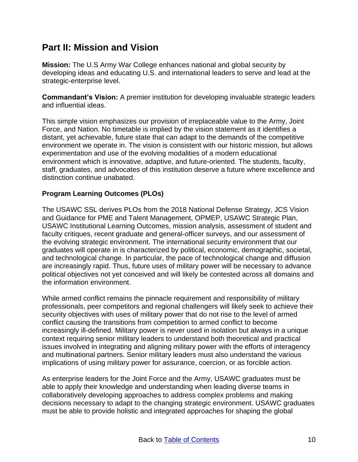# <span id="page-9-0"></span>**Part II: Mission and Vision**

<span id="page-9-1"></span>**Mission:** The U.S Army War College enhances national and global security by developing ideas and educating U.S. and international leaders to serve and lead at the strategic-enterprise level.

<span id="page-9-2"></span>**Commandant's Vision:** A premier institution for developing invaluable strategic leaders and influential ideas.

This simple vision emphasizes our provision of irreplaceable value to the Army, Joint Force, and Nation. No timetable is implied by the vision statement as it identifies a distant, yet achievable, future state that can adapt to the demands of the competitive environment we operate in. The vision is consistent with our historic mission, but allows experimentation and use of the evolving modalities of a modern educational environment which is innovative, adaptive, and future-oriented. The students, faculty, staff, graduates, and advocates of this institution deserve a future where excellence and distinction continue unabated.

# <span id="page-9-3"></span>**Program Learning Outcomes (PLOs)**

The USAWC SSL derives PLOs from the 2018 National Defense Strategy, JCS Vision and Guidance for PME and Talent Management, OPMEP, USAWC Strategic Plan, USAWC Institutional Learning Outcomes, mission analysis, assessment of student and faculty critiques, recent graduate and general-officer surveys, and our assessment of the evolving strategic environment. The international security environment that our graduates will operate in is characterized by political, economic, demographic, societal, and technological change. In particular, the pace of technological change and diffusion are increasingly rapid. Thus, future uses of military power will be necessary to advance political objectives not yet conceived and will likely be contested across all domains and the information environment.

While armed conflict remains the pinnacle requirement and responsibility of military professionals, peer competitors and regional challengers will likely seek to achieve their security objectives with uses of military power that do not rise to the level of armed conflict causing the transitions from competition to armed conflict to become increasingly ill-defined. Military power is never used in isolation but always in a unique context requiring senior military leaders to understand both theoretical and practical issues involved in integrating and aligning military power with the efforts of interagency and multinational partners. Senior military leaders must also understand the various implications of using military power for assurance, coercion, or as forcible action.

As enterprise leaders for the Joint Force and the Army, USAWC graduates must be able to apply their knowledge and understanding when leading diverse teams in collaboratively developing approaches to address complex problems and making decisions necessary to adapt to the changing strategic environment. USAWC graduates must be able to provide holistic and integrated approaches for shaping the global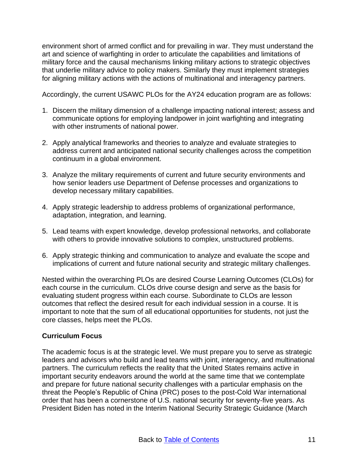environment short of armed conflict and for prevailing in war. They must understand the art and science of warfighting in order to articulate the capabilities and limitations of military force and the causal mechanisms linking military actions to strategic objectives that underlie military advice to policy makers. Similarly they must implement strategies for aligning military actions with the actions of multinational and interagency partners.

Accordingly, the current USAWC PLOs for the AY24 education program are as follows:

- 1. Discern the military dimension of a challenge impacting national interest; assess and communicate options for employing landpower in joint warfighting and integrating with other instruments of national power.
- 2. Apply analytical frameworks and theories to analyze and evaluate strategies to address current and anticipated national security challenges across the competition continuum in a global environment.
- 3. Analyze the military requirements of current and future security environments and how senior leaders use Department of Defense processes and organizations to develop necessary military capabilities.
- 4. Apply strategic leadership to address problems of organizational performance, adaptation, integration, and learning.
- 5. Lead teams with expert knowledge, develop professional networks, and collaborate with others to provide innovative solutions to complex, unstructured problems.
- 6. Apply strategic thinking and communication to analyze and evaluate the scope and implications of current and future national security and strategic military challenges.

Nested within the overarching PLOs are desired Course Learning Outcomes (CLOs) for each course in the curriculum. CLOs drive course design and serve as the basis for evaluating student progress within each course. Subordinate to CLOs are lesson outcomes that reflect the desired result for each individual session in a course. It is important to note that the sum of all educational opportunities for students, not just the core classes, helps meet the PLOs.

# <span id="page-10-0"></span>**Curriculum Focus**

The academic focus is at the strategic level. We must prepare you to serve as strategic leaders and advisors who build and lead teams with joint, interagency, and multinational partners. The curriculum reflects the reality that the United States remains active in important security endeavors around the world at the same time that we contemplate and prepare for future national security challenges with a particular emphasis on the threat the People's Republic of China (PRC) poses to the post-Cold War international order that has been a cornerstone of U.S. national security for seventy-five years. As President Biden has noted in the Interim National Security Strategic Guidance (March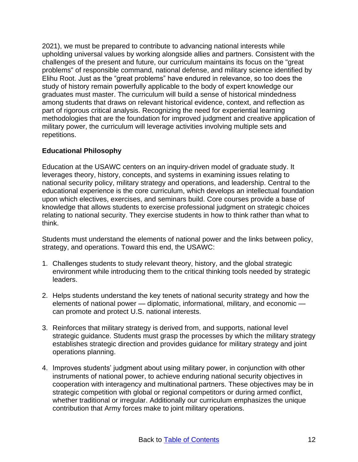2021), we must be prepared to contribute to advancing national interests while upholding universal values by working alongside allies and partners. Consistent with the challenges of the present and future, our curriculum maintains its focus on the "great problems" of responsible command, national defense, and military science identified by Elihu Root. Just as the "great problems" have endured in relevance, so too does the study of history remain powerfully applicable to the body of expert knowledge our graduates must master. The curriculum will build a sense of historical mindedness among students that draws on relevant historical evidence, context, and reflection as part of rigorous critical analysis. Recognizing the need for experiential learning methodologies that are the foundation for improved judgment and creative application of military power, the curriculum will leverage activities involving multiple sets and repetitions.

# <span id="page-11-0"></span>**Educational Philosophy**

Education at the USAWC centers on an inquiry-driven model of graduate study. It leverages theory, history, concepts, and systems in examining issues relating to national security policy, military strategy and operations, and leadership. Central to the educational experience is the core curriculum, which develops an intellectual foundation upon which electives, exercises, and seminars build. Core courses provide a base of knowledge that allows students to exercise professional judgment on strategic choices relating to national security. They exercise students in how to think rather than what to think.

Students must understand the elements of national power and the links between policy, strategy, and operations. Toward this end, the USAWC:

- 1. Challenges students to study relevant theory, history, and the global strategic environment while introducing them to the critical thinking tools needed by strategic leaders.
- 2. Helps students understand the key tenets of national security strategy and how the elements of national power — diplomatic, informational, military, and economic can promote and protect U.S. national interests.
- 3. Reinforces that military strategy is derived from, and supports, national level strategic guidance. Students must grasp the processes by which the military strategy establishes strategic direction and provides guidance for military strategy and joint operations planning.
- 4. Improves students' judgment about using military power, in conjunction with other instruments of national power, to achieve enduring national security objectives in cooperation with interagency and multinational partners. These objectives may be in strategic competition with global or regional competitors or during armed conflict, whether traditional or irregular. Additionally our curriculum emphasizes the unique contribution that Army forces make to joint military operations.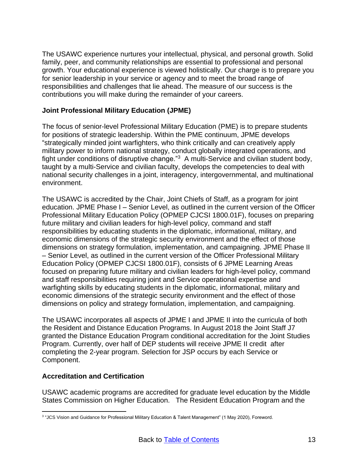The USAWC experience nurtures your intellectual, physical, and personal growth. Solid family, peer, and community relationships are essential to professional and personal growth. Your educational experience is viewed holistically. Our charge is to prepare you for senior leadership in your service or agency and to meet the broad range of responsibilities and challenges that lie ahead. The measure of our success is the contributions you will make during the remainder of your careers.

# <span id="page-12-0"></span>**Joint Professional Military Education (JPME)**

The focus of senior-level Professional Military Education (PME) is to prepare students for positions of strategic leadership. Within the PME continuum, JPME develops "strategically minded joint warfighters, who think critically and can creatively apply military power to inform national strategy, conduct globally integrated operations, and fight under conditions of disruptive change."<sup>3</sup> A multi-Service and civilian student body, taught by a multi-Service and civilian faculty, develops the competencies to deal with national security challenges in a joint, interagency, intergovernmental, and multinational environment.

The USAWC is accredited by the Chair, Joint Chiefs of Staff, as a program for joint education. JPME Phase I – Senior Level, as outlined in the current version of the Officer Professional Military Education Policy (OPMEP CJCSI 1800.01F), focuses on preparing future military and civilian leaders for high-level policy, command and staff responsibilities by educating students in the diplomatic, informational, military, and economic dimensions of the strategic security environment and the effect of those dimensions on strategy formulation, implementation, and campaigning. JPME Phase II – Senior Level, as outlined in the current version of the Officer Professional Military Education Policy (OPMEP CJCSI 1800.01F), consists of 6 JPME Learning Areas focused on preparing future military and civilian leaders for high-level policy, command and staff responsibilities requiring joint and Service operational expertise and warfighting skills by educating students in the diplomatic, informational, military and economic dimensions of the strategic security environment and the effect of those dimensions on policy and strategy formulation, implementation, and campaigning.

The USAWC incorporates all aspects of JPME I and JPME II into the curricula of both the Resident and Distance Education Programs. In August 2018 the Joint Staff J7 granted the Distance Education Program conditional accreditation for the Joint Studies Program. Currently, over half of DEP students will receive JPME II credit after completing the 2-year program. Selection for JSP occurs by each Service or Component.

# <span id="page-12-1"></span>**Accreditation and Certification**

USAWC academic programs are accredited for graduate level education by the Middle States Commission on Higher Education. The Resident Education Program and the

 $\overline{a}$ 3 "JCS Vision and Guidance for Professional Military Education & Talent Management" (1 May 2020), Foreword.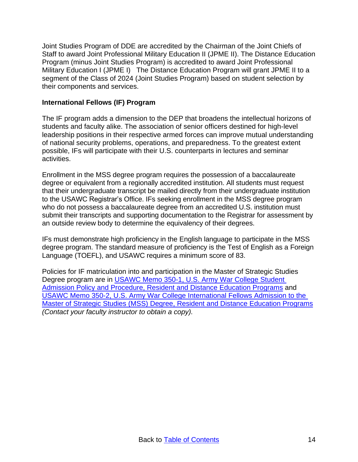Joint Studies Program of DDE are accredited by the Chairman of the Joint Chiefs of Staff to award Joint Professional Military Education II (JPME II). The Distance Education Program (minus Joint Studies Program) is accredited to award Joint Professional Military Education I (JPME I) The Distance Education Program will grant JPME II to a segment of the Class of 2024 (Joint Studies Program) based on student selection by their components and services.

# <span id="page-13-0"></span>**International Fellows (IF) Program**

The IF program adds a dimension to the DEP that broadens the intellectual horizons of students and faculty alike. The association of senior officers destined for high-level leadership positions in their respective armed forces can improve mutual understanding of national security problems, operations, and preparedness. To the greatest extent possible, IFs will participate with their U.S. counterparts in lectures and seminar activities.

Enrollment in the MSS degree program requires the possession of a baccalaureate degree or equivalent from a regionally accredited institution. All students must request that their undergraduate transcript be mailed directly from their undergraduate institution to the USAWC Registrar's Office. IFs seeking enrollment in the MSS degree program who do not possess a baccalaureate degree from an accredited U.S. institution must submit their transcripts and supporting documentation to the Registrar for assessment by an outside review body to determine the equivalency of their degrees.

IFs must demonstrate high proficiency in the English language to participate in the MSS degree program. The standard measure of proficiency is the Test of English as a Foreign Language (TOEFL), and USAWC requires a minimum score of 83.

Policies for IF matriculation into and participation in the Master of Strategic Studies Degree program are in [USAWC Memo 350-1, U.S. Army War College Student](https://cbks.carlisle.army.mil/sites/dhr/CarlisleBarracksPublications/USAWCMEM350-1.pdf)  [Admission Policy and Procedure, Resident and Distance Education Programs](https://cbks.carlisle.army.mil/sites/dhr/CarlisleBarracksPublications/USAWCMEM350-1.pdf) and [USAWC Memo 350-2, U.S. Army War College International Fellows Admission to the](https://cbks.carlisle.army.mil/sites/dhr/CarlisleBarracksPublications/USAWCMEM350-2.pdf)  [Master of Strategic Studies \(MSS\) Degree, Resident and Distance Education Programs](https://cbks.carlisle.army.mil/sites/dhr/CarlisleBarracksPublications/USAWCMEM350-2.pdf) *(Contact your faculty instructor to obtain a copy).*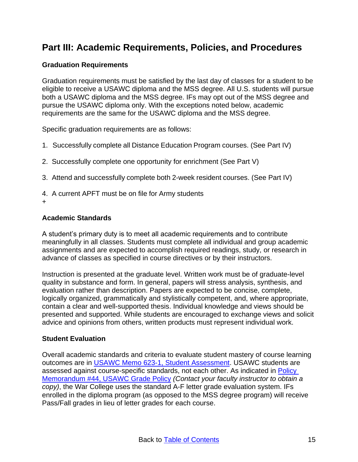# <span id="page-14-0"></span>**Part III: Academic Requirements, Policies, and Procedures**

# <span id="page-14-1"></span>**Graduation Requirements**

Graduation requirements must be satisfied by the last day of classes for a student to be eligible to receive a USAWC diploma and the MSS degree. All U.S. students will pursue both a USAWC diploma and the MSS degree. IFs may opt out of the MSS degree and pursue the USAWC diploma only. With the exceptions noted below, academic requirements are the same for the USAWC diploma and the MSS degree.

Specific graduation requirements are as follows:

- 1. Successfully complete all Distance Education Program courses. (See Part IV)
- 2. Successfully complete one opportunity for enrichment (See Part V)
- 3. Attend and successfully complete both 2-week resident courses. (See Part IV)
- 4. A current APFT must be on file for Army students
- +

# <span id="page-14-2"></span>**Academic Standards**

A student's primary duty is to meet all academic requirements and to contribute meaningfully in all classes. Students must complete all individual and group academic assignments and are expected to accomplish required readings, study, or research in advance of classes as specified in course directives or by their instructors.

Instruction is presented at the graduate level. Written work must be of graduate-level quality in substance and form. In general, papers will stress analysis, synthesis, and evaluation rather than description. Papers are expected to be concise, complete, logically organized, grammatically and stylistically competent, and, where appropriate, contain a clear and well-supported thesis. Individual knowledge and views should be presented and supported. While students are encouraged to exchange views and solicit advice and opinions from others, written products must represent individual work.

#### <span id="page-14-3"></span>**Student Evaluation**

Overall academic standards and criteria to evaluate student mastery of course learning outcomes are in [USAWC Memo 623-1, Student Assessment.](https://usarmywarcollege.sharepoint.com/sites/USAWCPoliciesGuidanceandTemplates/Shared%20Documents/Forms/AllItems.aspx?id=%2Fsites%2FUSAWCPoliciesGuidanceandTemplates%2FShared%20Documents%2FUSAWC%20Memo%20623%2D1%20%2D%20Student%20Assessment%20%2D%2031%20July%202020%2Epdf&parent=%2Fsites%2FUSAWCPoliciesGuidanceandTemplates%2FShared%20Documents) USAWC students are assessed against course-specific standards, not each other. As indicated in [Policy](https://cbks.carlisle.army.mil/sites/G1/Policy%20Letters/PolicyMemo%2044%20USAWC%20Grade%20Policy%2020200514.pdf)  [Memorandum #44, USAWC Grade Policy](https://cbks.carlisle.army.mil/sites/G1/Policy%20Letters/PolicyMemo%2044%20USAWC%20Grade%20Policy%2020200514.pdf) *(Contact your faculty instructor to obtain a copy)*, the War College uses the standard A-F letter grade evaluation system. IFs enrolled in the diploma program (as opposed to the MSS degree program) will receive Pass/Fall grades in lieu of letter grades for each course.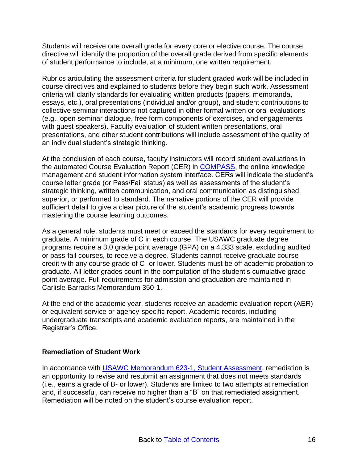Students will receive one overall grade for every core or elective course. The course directive will identify the proportion of the overall grade derived from specific elements of student performance to include, at a minimum, one written requirement.

Rubrics articulating the assessment criteria for student graded work will be included in course directives and explained to students before they begin such work. Assessment criteria will clarify standards for evaluating written products (papers, memoranda, essays, etc.), oral presentations (individual and/or group), and student contributions to collective seminar interactions not captured in other formal written or oral evaluations (e.g., open seminar dialogue, free form components of exercises, and engagements with guest speakers). Faculty evaluation of student written presentations, oral presentations, and other student contributions will include assessment of the quality of an individual student's strategic thinking.

At the conclusion of each course, faculty instructors will record student evaluations in the automated Course Evaluation Report (CER) in [COMPASS,](https://hrd.carlisle.army.mil/) the online knowledge management and student information system interface. CERs will indicate the student's course letter grade (or Pass/Fail status) as well as assessments of the student's strategic thinking, written communication, and oral communication as distinguished, superior, or performed to standard. The narrative portions of the CER will provide sufficient detail to give a clear picture of the student's academic progress towards mastering the course learning outcomes.

As a general rule, students must meet or exceed the standards for every requirement to graduate. A minimum grade of C in each course. The USAWC graduate degree programs require a 3.0 grade point average (GPA) on a 4.333 scale, excluding audited or pass-fail courses, to receive a degree. Students cannot receive graduate course credit with any course grade of C- or lower. Students must be off academic probation to graduate. All letter grades count in the computation of the student's cumulative grade point average. Full requirements for admission and graduation are maintained in [Carlisle Barracks Memorandum 350-1.](http://cbnet/orgs/doim/records_mngt/uploads/files/CBKSMEM350-1.pdf)

At the end of the academic year, students receive an academic evaluation report (AER) or equivalent service or agency-specific report. Academic records, including undergraduate transcripts and academic evaluation reports, are maintained in the Registrar's Office.

#### <span id="page-15-0"></span>**Remediation of Student Work**

In accordance with [USAWC Memorandum 623-1, Student Assessment,](https://usarmywarcollege.sharepoint.com/sites/USAWCPoliciesGuidanceandTemplates/Shared%20Documents/Forms/AllItems.aspx?id=%2Fsites%2FUSAWCPoliciesGuidanceandTemplates%2FShared%20Documents%2FUSAWC%20Memo%20623%2D1%20%2D%20Student%20Assessment%20%2D%2031%20July%202020%2Epdf&parent=%2Fsites%2FUSAWCPoliciesGuidanceandTemplates%2FShared%20Documents) remediation is an opportunity to revise and resubmit an assignment that does not meets standards (i.e., earns a grade of B- or lower). Students are limited to two attempts at remediation and, if successful, can receive no higher than a "B" on that remediated assignment. Remediation will be noted on the student's course evaluation report.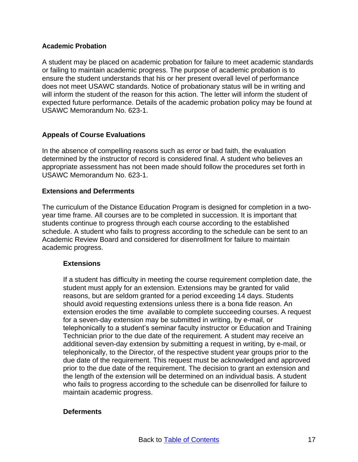#### <span id="page-16-0"></span>**Academic Probation**

A student may be placed on academic probation for failure to meet academic standards or failing to maintain academic progress. The purpose of academic probation is to ensure the student understands that his or her present overall level of performance does not meet USAWC standards. Notice of probationary status will be in writing and will inform the student of the reason for this action. The letter will inform the student of expected future performance. Details of the academic probation policy may be found at USAWC Memorandum No. 623-1.

#### <span id="page-16-1"></span>**Appeals of Course Evaluations**

In the absence of compelling reasons such as error or bad faith, the evaluation determined by the instructor of record is considered final. A student who believes an appropriate assessment has not been made should follow the procedures set forth in USAWC Memorandum No. 623-1.

#### <span id="page-16-2"></span>**Extensions and Deferrments**

The curriculum of the Distance Education Program is designed for completion in a twoyear time frame. All courses are to be completed in succession. It is important that students continue to progress through each course according to the established schedule. A student who fails to progress according to the schedule can be sent to an Academic Review Board and considered for disenrollment for failure to maintain academic progress.

#### <span id="page-16-3"></span>**Extensions**

If a student has difficulty in meeting the course requirement completion date, the student must apply for an extension. Extensions may be granted for valid reasons, but are seldom granted for a period exceeding 14 days. Students should avoid requesting extensions unless there is a bona fide reason. An extension erodes the time available to complete succeeding courses. A request for a seven-day extension may be submitted in writing, by e-mail, or telephonically to a student's seminar faculty instructor or Education and Training Technician prior to the due date of the requirement. A student may receive an additional seven-day extension by submitting a request in writing, by e-mail, or telephonically, to the Director, of the respective student year groups prior to the due date of the requirement. This request must be acknowledged and approved prior to the due date of the requirement. The decision to grant an extension and the length of the extension will be determined on an individual basis. A student who fails to progress according to the schedule can be disenrolled for failure to maintain academic progress.

#### <span id="page-16-4"></span>**Deferments**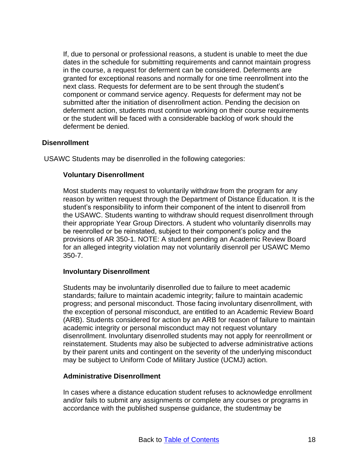If, due to personal or professional reasons, a student is unable to meet the due dates in the schedule for submitting requirements and cannot maintain progress in the course, a request for deferment can be considered. Deferments are granted for exceptional reasons and normally for one time reenrollment into the next class. Requests for deferment are to be sent through the student's component or command service agency. Requests for deferment may not be submitted after the initiation of disenrollment action. Pending the decision on deferment action, students must continue working on their course requirements or the student will be faced with a considerable backlog of work should the deferment be denied.

#### <span id="page-17-0"></span>**Disenrollment**

<span id="page-17-1"></span>USAWC Students may be disenrolled in the following categories:

#### **Voluntary Disenrollment**

Most students may request to voluntarily withdraw from the program for any reason by written request through the Department of Distance Education. It is the student's responsibility to inform their component of the intent to disenroll from the USAWC. Students wanting to withdraw should request disenrollment through their appropriate Year Group Directors. A student who voluntarily disenrolls may be reenrolled or be reinstated, subject to their component's policy and the provisions of AR 350-1. NOTE: A student pending an Academic Review Board for an alleged integrity violation may not voluntarily disenroll per USAWC Memo 350-7.

#### <span id="page-17-2"></span>**Involuntary Disenrollment**

Students may be involuntarily disenrolled due to failure to meet academic standards; failure to maintain academic integrity; failure to maintain academic progress; and personal misconduct. Those facing involuntary disenrollment, with the exception of personal misconduct, are entitled to an Academic Review Board (ARB). Students considered for action by an ARB for reason of failure to maintain academic integrity or personal misconduct may not request voluntary disenrollment. Involuntary disenrolled students may not apply for reenrollment or reinstatement. Students may also be subjected to adverse administrative actions by their parent units and contingent on the severity of the underlying misconduct may be subject to Uniform Code of Military Justice (UCMJ) action.

#### <span id="page-17-3"></span>**Administrative Disenrollment**

In cases where a distance education student refuses to acknowledge enrollment and/or fails to submit any assignments or complete any courses or programs in accordance with the published suspense guidance, the studentmay be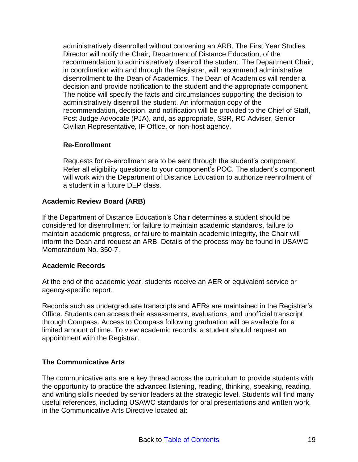administratively disenrolled without convening an ARB. The First Year Studies Director will notify the Chair, Department of Distance Education, of the recommendation to administratively disenroll the student. The Department Chair, in coordination with and through the Registrar, will recommend administrative disenrollment to the Dean of Academics. The Dean of Academics will render a decision and provide notification to the student and the appropriate component. The notice will specify the facts and circumstances supporting the decision to administratively disenroll the student. An information copy of the recommendation, decision, and notification will be provided to the Chief of Staff, Post Judge Advocate (PJA), and, as appropriate, SSR, RC Adviser, Senior Civilian Representative, IF Office, or non-host agency.

# <span id="page-18-0"></span>**Re-Enrollment**

Requests for re-enrollment are to be sent through the student's component. Refer all eligibility questions to your component's POC. The student's component will work with the Department of Distance Education to authorize reenrollment of a student in a future DEP class.

# <span id="page-18-1"></span>**Academic Review Board (ARB)**

If the Department of Distance Education's Chair determines a student should be considered for disenrollment for failure to maintain academic standards, failure to maintain academic progress, or failure to maintain academic integrity, the Chair will inform the Dean and request an ARB. Details of the process may be found in USAWC Memorandum No. 350-7.

# <span id="page-18-2"></span>**Academic Records**

At the end of the academic year, students receive an AER or equivalent service or agency-specific report.

Records such as undergraduate transcripts and AERs are maintained in the Registrar's Office. Students can access their assessments, evaluations, and unofficial transcript through Compass. Access to Compass following graduation will be available for a limited amount of time. To view academic records, a student should request an appointment with the Registrar.

# <span id="page-18-3"></span>**The Communicative Arts**

The communicative arts are a key thread across the curriculum to provide students with the opportunity to practice the advanced listening, reading, thinking, speaking, reading, and writing skills needed by senior leaders at the strategic level. Students will find many useful references, including USAWC standards for oral presentations and written work, in the Communicative Arts Directive located at: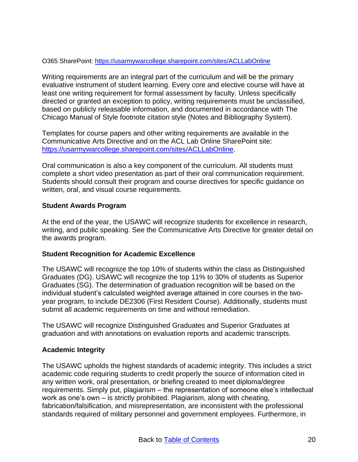O365 SharePoint:<https://usarmywarcollege.sharepoint.com/sites/ACLLabOnline>

Writing requirements are an integral part of the curriculum and will be the primary evaluative instrument of student learning. Every core and elective course will have at least one writing requirement for formal assessment by faculty. Unless specifically directed or granted an exception to policy, writing requirements must be unclassified, based on publicly releasable information, and documented in accordance with The Chicago Manual of Style footnote citation style (Notes and Bibliography System).

Templates for course papers and other writing requirements are available in the Communicative Arts Directive and on the ACL Lab Online SharePoint site: [https://usarmywarcollege.sharepoint.com/sites/ACLLabOnline.](https://usarmywarcollege.sharepoint.com/sites/ACLLabOnline)

Oral communication is also a key component of the curriculum. All students must complete a short video presentation as part of their oral communication requirement. Students should consult their program and course directives for specific guidance on written, oral, and visual course requirements.

#### <span id="page-19-0"></span>**Student Awards Program**

At the end of the year, the USAWC will recognize students for excellence in research, writing, and public speaking. See the Communicative Arts Directive for greater detail on the awards program.

# <span id="page-19-1"></span>**Student Recognition for Academic Excellence**

The USAWC will recognize the top 10% of students within the class as Distinguished Graduates (DG). USAWC will recognize the top 11% to 30% of students as Superior Graduates (SG). The determination of graduation recognition will be based on the individual student's calculated weighted average attained in core courses in the twoyear program, to include DE2306 (First Resident Course). Additionally, students must submit all academic requirements on time and without remediation.

The USAWC will recognize Distinguished Graduates and Superior Graduates at graduation and with annotations on evaluation reports and academic transcripts.

# <span id="page-19-2"></span>**Academic Integrity**

The USAWC upholds the highest standards of academic integrity. This includes a strict academic code requiring students to credit properly the source of information cited in any written work, oral presentation, or briefing created to meet diploma/degree requirements. Simply put, plagiarism – the representation of someone else's intellectual work as one's own – is strictly prohibited. Plagiarism, along with cheating, fabrication/falsification, and misrepresentation, are inconsistent with the professional standards required of military personnel and government employees. Furthermore, in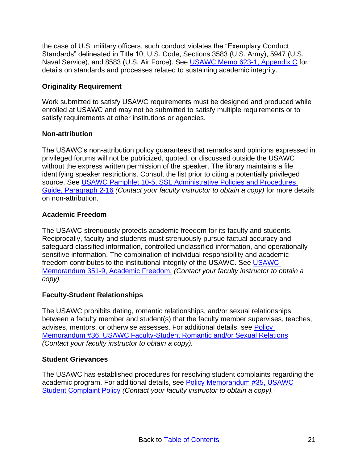the case of U.S. military officers, such conduct violates the "Exemplary Conduct Standards" delineated in Title 10, U.S. Code, Sections 3583 (U.S. Army), 5947 (U.S. Naval Service), and 8583 (U.S. Air Force). See [USAWC Memo 623-1, Appendix C](https://usarmywarcollege.sharepoint.com/sites/USAWCPoliciesGuidanceandTemplates/Shared%20Documents/Forms/AllItems.aspx?id=%2Fsites%2FUSAWCPoliciesGuidanceandTemplates%2FShared%20Documents%2FUSAWC%20Memo%20623%2D1%20%2D%20Student%20Assessment%20%2D%2031%20July%202020%2Epdf&parent=%2Fsites%2FUSAWCPoliciesGuidanceandTemplates%2FShared%20Documents) for details on standards and processes related to sustaining academic integrity.

# <span id="page-20-0"></span>**Originality Requirement**

Work submitted to satisfy USAWC requirements must be designed and produced while enrolled at USAWC and may not be submitted to satisfy multiple requirements or to satisfy requirements at other institutions or agencies.

# <span id="page-20-1"></span>**Non-attribution**

The USAWC's non-attribution policy guarantees that remarks and opinions expressed in privileged forums will not be publicized, quoted, or discussed outside the USAWC without the express written permission of the speaker. The library maintains a file identifying speaker restrictions. Consult the list prior to citing a potentially privileged source. See USAWC Pamphlet 10-5, SSL Administrative Policies and Procedures [Guide, Paragraph 2-16](https://cbks.carlisle.army.mil/sites/dhr/CarlisleBarracksPublications/USAWCPAM10-5.pdf) *(Contact your faculty instructor to obtain a copy)* for more details on non-attribution.

# <span id="page-20-2"></span>**Academic Freedom**

The USAWC strenuously protects academic freedom for its faculty and students. Reciprocally, faculty and students must strenuously pursue factual accuracy and safeguard classified information, controlled unclassified information, and operationally sensitive information. The combination of individual responsibility and academic freedom contributes to the institutional integrity of the USAWC. See USAWC [Memorandum 351-9, Academic Freedom.](https://cbks.carlisle.army.mil/sites/dhr/CarlisleBarracksPublications/USAWCMEM351-9.pdf) *(Contact your faculty instructor to obtain a copy).*

# <span id="page-20-3"></span>**Faculty-Student Relationships**

The USAWC prohibits dating, romantic relationships, and/or sexual relationships between a faculty member and student(s) that the faculty member supervises, teaches, advises, mentors, or otherwise assesses. For additional details, see [Policy](https://cbks.carlisle.army.mil/sites/G1/Policy%20Letters/PolicyMemo%2036%20USAWC%20Faculty%20Student%20Romantic%20and%20or%20Sexual%20Relations%2020181011.pdf)  [Memorandum #36, USAWC Faculty-Student Romantic and/or Sexual Relations](https://cbks.carlisle.army.mil/sites/G1/Policy%20Letters/PolicyMemo%2036%20USAWC%20Faculty%20Student%20Romantic%20and%20or%20Sexual%20Relations%2020181011.pdf) *(Contact your faculty instructor to obtain a copy).*

#### <span id="page-20-4"></span>**Student Grievances**

The USAWC has established procedures for resolving student complaints regarding the academic program. For additional details, see [Policy Memorandum #35, USAWC](https://cbks.carlisle.army.mil/sites/G1/Policy%20Letters/PolicyMemo%2035%20USAWC%20Student%20Complaint%20Policy%2020181001.pdf)  [Student Complaint Policy](https://cbks.carlisle.army.mil/sites/G1/Policy%20Letters/PolicyMemo%2035%20USAWC%20Student%20Complaint%20Policy%2020181001.pdf) *(Contact your faculty instructor to obtain a copy).*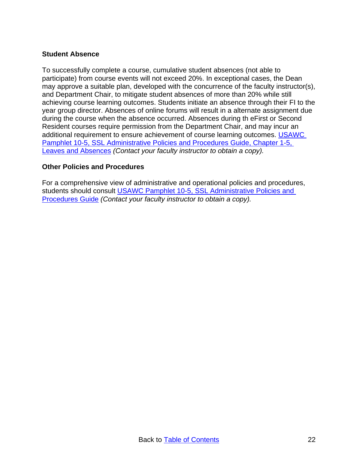#### <span id="page-21-0"></span>**Student Absence**

To successfully complete a course, cumulative student absences (not able to participate) from course events will not exceed 20%. In exceptional cases, the Dean may approve a suitable plan, developed with the concurrence of the faculty instructor(s), and Department Chair, to mitigate student absences of more than 20% while still achieving course learning outcomes. Students initiate an absence through their FI to the year group director. Absences of online forums will result in a alternate assignment due during the course when the absence occurred. Absences during th eFirst or Second Resident courses require permission from the Department Chair, and may incur an additional requirement to ensure achievement of course learning outcomes. [USAWC](https://cbks.carlisle.army.mil/sites/dhr/CarlisleBarracksPublications/USAWCPAM10-5.pdf)  Pamphlet 10-5, SSL [Administrative Policies and Procedures Guide, Chapter 1-5,](https://cbks.carlisle.army.mil/sites/dhr/CarlisleBarracksPublications/USAWCPAM10-5.pdf)  [Leaves and Absences](https://cbks.carlisle.army.mil/sites/dhr/CarlisleBarracksPublications/USAWCPAM10-5.pdf) *(Contact your faculty instructor to obtain a copy).*

#### <span id="page-21-1"></span>**Other Policies and Procedures**

For a comprehensive view of administrative and operational policies and procedures, students should consult [USAWC Pamphlet 10-5, SSL](https://cbks.carlisle.army.mil/sites/dhr/CarlisleBarracksPublications/USAWCPAM10-5.pdf) Administrative Policies and [Procedures Guide](https://cbks.carlisle.army.mil/sites/dhr/CarlisleBarracksPublications/USAWCPAM10-5.pdf) *(Contact your faculty instructor to obtain a copy).*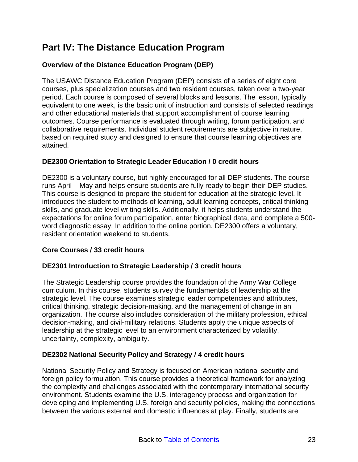# <span id="page-22-0"></span>**Part IV: The Distance Education Program**

# <span id="page-22-1"></span>**Overview of the Distance Education Program (DEP)**

The USAWC Distance Education Program (DEP) consists of a series of eight core courses, plus specialization courses and two resident courses, taken over a two-year period. Each course is composed of several blocks and lessons. The lesson, typically equivalent to one week, is the basic unit of instruction and consists of selected readings and other educational materials that support accomplishment of course learning outcomes. Course performance is evaluated through writing, forum participation, and collaborative requirements. Individual student requirements are subjective in nature, based on required study and designed to ensure that course learning objectives are attained.

# <span id="page-22-2"></span>**DE2300 Orientation to Strategic Leader Education / 0 credit hours**

DE2300 is a voluntary course, but highly encouraged for all DEP students. The course runs April – May and helps ensure students are fully ready to begin their DEP studies. This course is designed to prepare the student for education at the strategic level. It introduces the student to methods of learning, adult learning concepts, critical thinking skills, and graduate level writing skills. Additionally, it helps students understand the expectations for online forum participation, enter biographical data, and complete a 500 word diagnostic essay. In addition to the online portion, DE2300 offers a voluntary, resident orientation weekend to students.

# <span id="page-22-3"></span>**Core Courses / 33 credit hours**

# <span id="page-22-4"></span>**DE2301 Introduction to Strategic Leadership / 3 credit hours**

The Strategic Leadership course provides the foundation of the Army War College curriculum. In this course, students survey the fundamentals of leadership at the strategic level. The course examines strategic leader competencies and attributes, critical thinking, strategic decision-making, and the management of change in an organization. The course also includes consideration of the military profession, ethical decision-making, and civil-military relations. Students apply the unique aspects of leadership at the strategic level to an environment characterized by volatility, uncertainty, complexity, ambiguity.

# <span id="page-22-5"></span>**DE2302 National Security Policy and Strategy / 4 credit hours**

National Security Policy and Strategy is focused on American national security and foreign policy formulation. This course provides a theoretical framework for analyzing the complexity and challenges associated with the contemporary international security environment. Students examine the U.S. interagency process and organization for developing and implementing U.S. foreign and security policies, making the connections between the various external and domestic influences at play. Finally, students are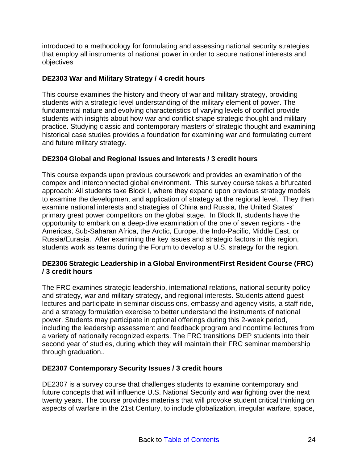introduced to a methodology for formulating and assessing national security strategies that employ all instruments of national power in order to secure national interests and objectives

# <span id="page-23-0"></span>**DE2303 War and Military Strategy / 4 credit hours**

This course examines the history and theory of war and military strategy, providing students with a strategic level understanding of the military element of power. The fundamental nature and evolving characteristics of varying levels of conflict provide students with insights about how war and conflict shape strategic thought and military practice. Studying classic and contemporary masters of strategic thought and examining historical case studies provides a foundation for examining war and formulating current and future military strategy.

# <span id="page-23-1"></span>**DE2304 Global and Regional Issues and Interests / 3 credit hours**

This course expands upon previous coursework and provides an examination of the compex and interconnected global environment. This survey course takes a bifurcated approach: All students take Block I, where they expand upon previous strategy models to examine the development and application of strategy at the regional level. They then examine national interests and strategies of China and Russia, the United States' primary great power competitors on the global stage. In Block II, students have the opportunity to embark on a deep-dive examination of the one of seven regions - the Americas, Sub-Saharan Africa, the Arctic, Europe, the Indo-Pacific, Middle East, or Russia/Eurasia. After examining the key issues and strategic factors in this region, students work as teams during the Forum to develop a U.S. strategy for the region.

# <span id="page-23-2"></span>**DE2306 Strategic Leadership in a Global EnvironmentFirst Resident Course (FRC) / 3 credit hours**

The FRC examines strategic leadership, international relations, national security policy and strategy, war and military strategy, and regional interests. Students attend guest lectures and participate in seminar discussions, embassy and agency visits, a staff ride, and a strategy formulation exercise to better understand the instruments of national power. Students may participate in optional offerings during this 2-week period, including the leadership assessment and feedback program and noontime lectures from a variety of nationally recognized experts. The FRC transitions DEP students into their second year of studies, during which they will maintain their FRC seminar membership through graduation..

# <span id="page-23-3"></span>**DE2307 Contemporary Security Issues / 3 credit hours**

DE2307 is a survey course that challenges students to examine contemporary and future concepts that will influence U.S. National Security and war fighting over the next twenty years. The course provides materials that will provoke student critical thinking on aspects of warfare in the 21st Century, to include globalization, irregular warfare, space,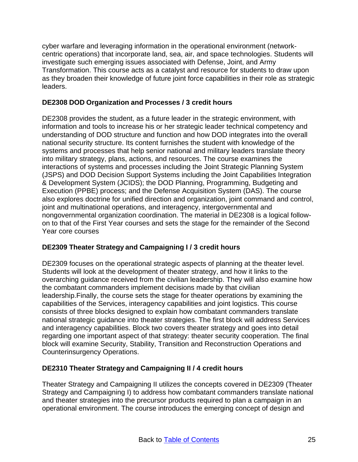cyber warfare and leveraging information in the operational environment (networkcentric operations) that incorporate land, sea, air, and space technologies. Students will investigate such emerging issues associated with Defense, Joint, and Army Transformation. This course acts as a catalyst and resource for students to draw upon as they broaden their knowledge of future joint force capabilities in their role as strategic leaders.

# <span id="page-24-0"></span>**DE2308 DOD Organization and Processes / 3 credit hours**

DE2308 provides the student, as a future leader in the strategic environment, with information and tools to increase his or her strategic leader technical competency and understanding of DOD structure and function and how DOD integrates into the overall national security structure. Its content furnishes the student with knowledge of the systems and processes that help senior national and military leaders translate theory into military strategy, plans, actions, and resources. The course examines the interactions of systems and processes including the Joint Strategic Planning System (JSPS) and DOD Decision Support Systems including the Joint Capabilities Integration & Development System (JCIDS); the DOD Planning, Programming, Budgeting and Execution (PPBE) process; and the Defense Acquisition System (DAS). The course also explores doctrine for unified direction and organization, joint command and control, joint and multinational operations, and interagency, intergovernmental and nongovernmental organization coordination. The material in DE2308 is a logical followon to that of the First Year courses and sets the stage for the remainder of the Second Year core courses

# <span id="page-24-1"></span>**DE2309 Theater Strategy and Campaigning I / 3 credit hours**

DE2309 focuses on the operational strategic aspects of planning at the theater level. Students will look at the development of theater strategy, and how it links to the overarching guidance received from the civilian leadership. They will also examine how the combatant commanders implement decisions made by that civilian leadership.Finally, the course sets the stage for theater operations by examining the capabilities of the Services, interagency capabilities and joint logistics. This course consists of three blocks designed to explain how combatant commanders translate national strategic guidance into theater strategies. The first block will address Services and interagency capabilities. Block two covers theater strategy and goes into detail regarding one important aspect of that strategy: theater security cooperation. The final block will examine Security, Stability, Transition and Reconstruction Operations and Counterinsurgency Operations.

# <span id="page-24-2"></span>**DE2310 Theater Strategy and Campaigning II / 4 credit hours**

Theater Strategy and Campaigning II utilizes the concepts covered in DE2309 (Theater Strategy and Campaigning I) to address how combatant commanders translate national and theater strategies into the precursor products required to plan a campaign in an operational environment. The course introduces the emerging concept of design and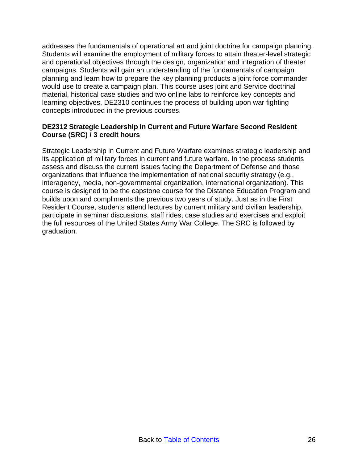addresses the fundamentals of operational art and joint doctrine for campaign planning. Students will examine the employment of military forces to attain theater-level strategic and operational objectives through the design, organization and integration of theater campaigns. Students will gain an understanding of the fundamentals of campaign planning and learn how to prepare the key planning products a joint force commander would use to create a campaign plan. This course uses joint and Service doctrinal material, historical case studies and two online labs to reinforce key concepts and learning objectives. DE2310 continues the process of building upon war fighting concepts introduced in the previous courses.

# <span id="page-25-0"></span>**DE2312 Strategic Leadership in Current and Future Warfare Second Resident Course (SRC) / 3 credit hours**

Strategic Leadership in Current and Future Warfare examines strategic leadership and its application of military forces in current and future warfare. In the process students assess and discuss the current issues facing the Department of Defense and those organizations that influence the implementation of national security strategy (e.g., interagency, media, non-governmental organization, international organization). This course is designed to be the capstone course for the Distance Education Program and builds upon and compliments the previous two years of study. Just as in the First Resident Course, students attend lectures by current military and civilian leadership, participate in seminar discussions, staff rides, case studies and exercises and exploit the full resources of the United States Army War College. The SRC is followed by graduation.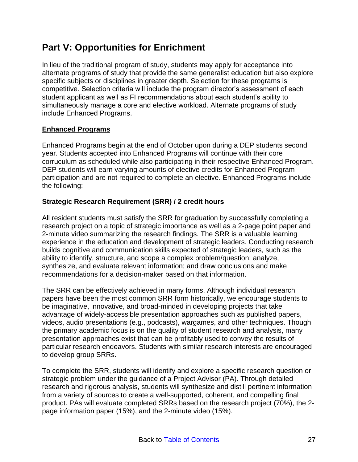# <span id="page-26-0"></span>**Part V: Opportunities for Enrichment**

In lieu of the traditional program of study, students may apply for acceptance into alternate programs of study that provide the same generalist education but also explore specific subjects or disciplines in greater depth. Selection for these programs is competitive. Selection criteria will include the program director's assessment of each student applicant as well as FI recommendations about each student's ability to simultaneously manage a core and elective workload. Alternate programs of study include Enhanced Programs.

# <span id="page-26-1"></span>**Enhanced Programs**

Enhanced Programs begin at the end of October upon during a DEP students second year. Students accepted into Enhanced Programs will continue with their core corruculum as scheduled while also participating in their respective Enhanced Program. DEP students will earn varying amounts of elective credits for Enhanced Program participation and are not required to complete an elective. Enhanced Programs include the following:

# <span id="page-26-2"></span>**Strategic Research Requirement (SRR) / 2 credit hours**

All resident students must satisfy the SRR for graduation by successfully completing a research project on a topic of strategic importance as well as a 2-page point paper and 2-minute video summarizing the research findings. The SRR is a valuable learning experience in the education and development of strategic leaders. Conducting research builds cognitive and communication skills expected of strategic leaders, such as the ability to identify, structure, and scope a complex problem/question; analyze, synthesize, and evaluate relevant information; and draw conclusions and make recommendations for a decision-maker based on that information.

The SRR can be effectively achieved in many forms. Although individual research papers have been the most common SRR form historically, we encourage students to be imaginative, innovative, and broad-minded in developing projects that take advantage of widely-accessible presentation approaches such as published papers, videos, audio presentations (e.g., podcasts), wargames, and other techniques. Though the primary academic focus is on the quality of student research and analysis, many presentation approaches exist that can be profitably used to convey the results of particular research endeavors. Students with similar research interests are encouraged to develop group SRRs.

To complete the SRR, students will identify and explore a specific research question or strategic problem under the guidance of a Project Advisor (PA). Through detailed research and rigorous analysis, students will synthesize and distill pertinent information from a variety of sources to create a well-supported, coherent, and compelling final product. PAs will evaluate completed SRRs based on the research project (70%), the 2 page information paper (15%), and the 2-minute video (15%).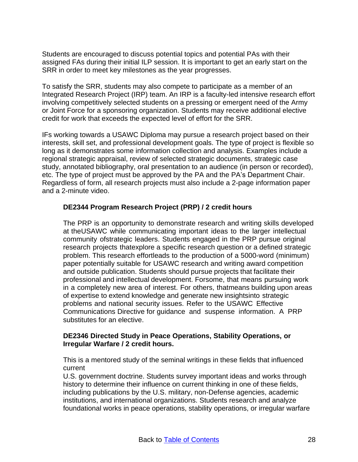Students are encouraged to discuss potential topics and potential PAs with their assigned FAs during their initial ILP session. It is important to get an early start on the SRR in order to meet key milestones as the year progresses.

To satisfy the SRR, students may also compete to participate as a member of an Integrated Research Project (IRP) team. An IRP is a faculty-led intensive research effort involving competitively selected students on a pressing or emergent need of the Army or Joint Force for a sponsoring organization. Students may receive additional elective credit for work that exceeds the expected level of effort for the SRR.

IFs working towards a USAWC Diploma may pursue a research project based on their interests, skill set, and professional development goals. The type of project is flexible so long as it demonstrates some information collection and analysis. Examples include a regional strategic appraisal, review of selected strategic documents, strategic case study, annotated bibliography, oral presentation to an audience (in person or recorded), etc. The type of project must be approved by the PA and the PA's Department Chair. Regardless of form, all research projects must also include a 2-page information paper and a 2-minute video.

# <span id="page-27-0"></span>**DE2344 Program Research Project (PRP) / 2 credit hours**

The PRP is an opportunity to demonstrate research and writing skills developed at theUSAWC while communicating important ideas to the larger intellectual community ofstrategic leaders. Students engaged in the PRP pursue original research projects thatexplore a specific research question or a defined strategic problem. This research effortleads to the production of a 5000-word (minimum) paper potentially suitable for USAWC research and writing award competition and outside publication. Students should pursue projects that facilitate their professional and intellectual development. Forsome, that means pursuing work in a completely new area of interest. For others, thatmeans building upon areas of expertise to extend knowledge and generate new insightsinto strategic problems and national security issues. Refer to the USAWC Effective Communications Directive for guidance and suspense information. A PRP substitutes for an elective.

#### <span id="page-27-1"></span>**DE2346 Directed Study in Peace Operations, Stability Operations, or Irregular Warfare / 2 credit hours.**

This is a mentored study of the seminal writings in these fields that influenced current

U.S. government doctrine. Students survey important ideas and works through history to determine their influence on current thinking in one of these fields, including publications by the U.S. military, non-Defense agencies, academic institutions, and international organizations. Students research and analyze foundational works in peace operations, stability operations, or irregular warfare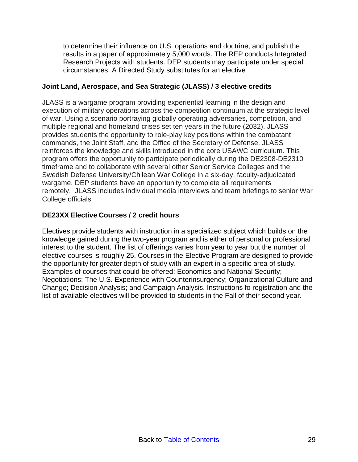to determine their influence on U.S. operations and doctrine, and publish the results in a paper of approximately 5,000 words. The REP conducts Integrated Research Projects with students. DEP students may participate under special circumstances. A Directed Study substitutes for an elective

# <span id="page-28-0"></span>**Joint Land, Aerospace, and Sea Strategic (JLASS) / 3 elective credits**

JLASS is a wargame program providing experiential learning in the design and execution of military operations across the competition continuum at the strategic level of war. Using a scenario portraying globally operating adversaries, competition, and multiple regional and homeland crises set ten years in the future (2032), JLASS provides students the opportunity to role-play key positions within the combatant commands, the Joint Staff, and the Office of the Secretary of Defense. JLASS reinforces the knowledge and skills introduced in the core USAWC curriculum. This program offers the opportunity to participate periodically during the DE2308-DE2310 timeframe and to collaborate with several other Senior Service Colleges and the Swedish Defense University/Chilean War College in a six-day, faculty-adjudicated wargame. DEP students have an opportunity to complete all requirements remotely. JLASS includes individual media interviews and team briefings to senior War College officials

# <span id="page-28-1"></span>**DE23XX Elective Courses / 2 credit hours**

Electives provide students with instruction in a specialized subject which builds on the knowledge gained during the two-year program and is either of personal or professional interest to the student. The list of offerings varies from year to year but the number of elective courses is roughly 25. Courses in the Elective Program are designed to provide the opportunity for greater depth of study with an expert in a specific area of study. Examples of courses that could be offered: Economics and National Security; Negotiations; The U.S. Experience with Counterinsurgency; Organizational Culture and Change; Decision Analysis; and Campaign Analysis. Instructions fo registration and the list of available electives will be provided to students in the Fall of their second year.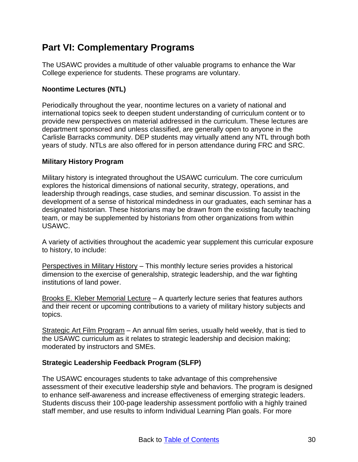# <span id="page-29-0"></span>**Part VI: Complementary Programs**

The USAWC provides a multitude of other valuable programs to enhance the War College experience for students. These programs are voluntary.

# <span id="page-29-1"></span>**Noontime Lectures (NTL)**

Periodically throughout the year, noontime lectures on a variety of national and international topics seek to deepen student understanding of curriculum content or to provide new perspectives on material addressed in the curriculum. These lectures are department sponsored and unless classified, are generally open to anyone in the Carlisle Barracks community. DEP students may virtually attend any NTL through both years of study. NTLs are also offered for in person attendance during FRC and SRC.

# <span id="page-29-2"></span>**Military History Program**

Military history is integrated throughout the USAWC curriculum. The core curriculum explores the historical dimensions of national security, strategy, operations, and leadership through readings, case studies, and seminar discussion. To assist in the development of a sense of historical mindedness in our graduates, each seminar has a designated historian. These historians may be drawn from the existing faculty teaching team, or may be supplemented by historians from other organizations from within USAWC.

A variety of activities throughout the academic year supplement this curricular exposure to history, to include:

Perspectives in Military History – This monthly lecture series provides a historical dimension to the exercise of generalship, strategic leadership, and the war fighting institutions of land power.

Brooks E. Kleber Memorial Lecture – A quarterly lecture series that features authors and their recent or upcoming contributions to a variety of military history subjects and topics.

Strategic Art Film Program – An annual film series, usually held weekly, that is tied to the USAWC curriculum as it relates to strategic leadership and decision making; moderated by instructors and SMEs.

# <span id="page-29-3"></span>**Strategic Leadership Feedback Program (SLFP)**

The USAWC encourages students to take advantage of this comprehensive assessment of their executive leadership style and behaviors. The program is designed to enhance self-awareness and increase effectiveness of emerging strategic leaders. Students discuss their 100-page leadership assessment portfolio with a highly trained staff member, and use results to inform Individual Learning Plan goals. For more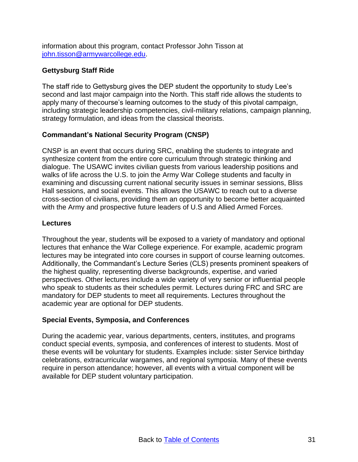information about this program, contact Professor John Tisson at [john.tisson@armywarcollege.edu.](mailto:john.tisson@armywarcollege.edu)

# <span id="page-30-0"></span>**Gettysburg Staff Ride**

The staff ride to Gettysburg gives the DEP student the opportunity to study Lee's second and last major campaign into the North. This staff ride allows the students to apply many of thecourse's learning outcomes to the study of this pivotal campaign, including strategic leadership competencies, civil-military relations, campaign planning, strategy formulation, and ideas from the classical theorists.

# <span id="page-30-1"></span>**Commandant's National Security Program (CNSP)**

CNSP is an event that occurs during SRC, enabling the students to integrate and synthesize content from the entire core curriculum through strategic thinking and dialogue. The USAWC invites civilian guests from various leadership positions and walks of life across the U.S. to join the Army War College students and faculty in examining and discussing current national security issues in seminar sessions, Bliss Hall sessions, and social events. This allows the USAWC to reach out to a diverse cross-section of civilians, providing them an opportunity to become better acquainted with the Army and prospective future leaders of U.S and Allied Armed Forces.

#### <span id="page-30-2"></span>**Lectures**

Throughout the year, students will be exposed to a variety of mandatory and optional lectures that enhance the War College experience. For example, academic program lectures may be integrated into core courses in support of course learning outcomes. Additionally, the Commandant's Lecture Series (CLS) presents prominent speakers of the highest quality, representing diverse backgrounds, expertise, and varied perspectives. Other lectures include a wide variety of very senior or influential people who speak to students as their schedules permit. Lectures during FRC and SRC are mandatory for DEP students to meet all requirements. Lectures throughout the academic year are optional for DEP students.

# <span id="page-30-3"></span>**Special Events, Symposia, and Conferences**

During the academic year, various departments, centers, institutes, and programs conduct special events, symposia, and conferences of interest to students. Most of these events will be voluntary for students. Examples include: sister Service birthday celebrations, extracurricular wargames, and regional symposia. Many of these events require in person attendance; however, all events with a virtual component will be available for DEP student voluntary participation.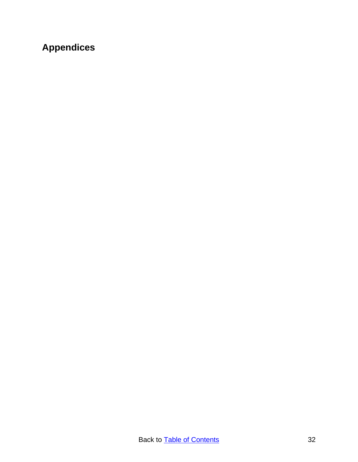# <span id="page-31-0"></span>**Appendices**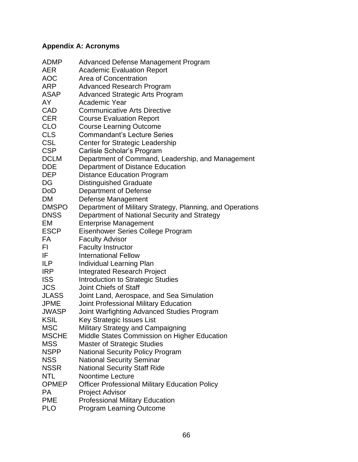# <span id="page-32-0"></span>**Appendix A: Acronyms**

| <b>ADMP</b>  | Advanced Defense Management Program                       |
|--------------|-----------------------------------------------------------|
| <b>AER</b>   | <b>Academic Evaluation Report</b>                         |
| <b>AOC</b>   | Area of Concentration                                     |
| <b>ARP</b>   | <b>Advanced Research Program</b>                          |
| <b>ASAP</b>  | <b>Advanced Strategic Arts Program</b>                    |
| AY           | Academic Year                                             |
| <b>CAD</b>   | <b>Communicative Arts Directive</b>                       |
| <b>CER</b>   | <b>Course Evaluation Report</b>                           |
| <b>CLO</b>   | <b>Course Learning Outcome</b>                            |
| <b>CLS</b>   | <b>Commandant's Lecture Series</b>                        |
| <b>CSL</b>   | Center for Strategic Leadership                           |
| <b>CSP</b>   | Carlisle Scholar's Program                                |
| <b>DCLM</b>  | Department of Command, Leadership, and Management         |
| <b>DDE</b>   | Department of Distance Education                          |
| <b>DEP</b>   | <b>Distance Education Program</b>                         |
| DG           | <b>Distinguished Graduate</b>                             |
| <b>DoD</b>   | <b>Department of Defense</b>                              |
| <b>DM</b>    | Defense Management                                        |
| <b>DMSPO</b> | Department of Military Strategy, Planning, and Operations |
| <b>DNSS</b>  | Department of National Security and Strategy              |
| EM           | <b>Enterprise Management</b>                              |
| <b>ESCP</b>  | Eisenhower Series College Program                         |
| FA           | <b>Faculty Advisor</b>                                    |
| FI           | <b>Faculty Instructor</b>                                 |
| IF           | <b>International Fellow</b>                               |
| <b>ILP</b>   | Individual Learning Plan                                  |
| <b>IRP</b>   | <b>Integrated Research Project</b>                        |
| <b>ISS</b>   | <b>Introduction to Strategic Studies</b>                  |
| <b>JCS</b>   | Joint Chiefs of Staff                                     |
| <b>JLASS</b> | Joint Land, Aerospace, and Sea Simulation                 |
| <b>JPME</b>  | Joint Professional Military Education                     |
| <b>JWASP</b> | Joint Warfighting Advanced Studies Program                |
| <b>KSIL</b>  | Key Strategic Issues List                                 |
| <b>MSC</b>   | Military Strategy and Campaigning                         |
| <b>MSCHE</b> | Middle States Commission on Higher Education              |
| <b>MSS</b>   | <b>Master of Strategic Studies</b>                        |
| <b>NSPP</b>  | <b>National Security Policy Program</b>                   |
| <b>NSS</b>   | <b>National Security Seminar</b>                          |
| <b>NSSR</b>  | <b>National Security Staff Ride</b>                       |
| <b>NTL</b>   | <b>Noontime Lecture</b>                                   |
| <b>OPMEP</b> | <b>Officer Professional Military Education Policy</b>     |
| <b>PA</b>    | <b>Project Advisor</b>                                    |
| <b>PME</b>   | <b>Professional Military Education</b>                    |
| <b>PLO</b>   | <b>Program Learning Outcome</b>                           |
|              |                                                           |